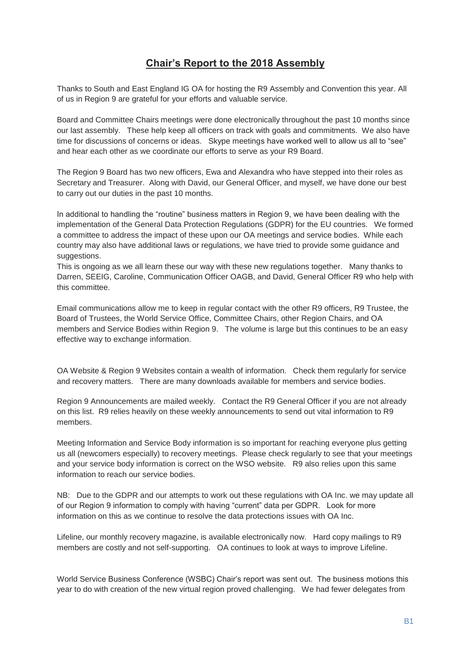# **Chair's Report to the 2018 Assembly**

Thanks to South and East England IG OA for hosting the R9 Assembly and Convention this year. All of us in Region 9 are grateful for your efforts and valuable service.

Board and Committee Chairs meetings were done electronically throughout the past 10 months since our last assembly. These help keep all officers on track with goals and commitments. We also have time for discussions of concerns or ideas. Skype meetings have worked well to allow us all to "see" and hear each other as we coordinate our efforts to serve as your R9 Board.

The Region 9 Board has two new officers, Ewa and Alexandra who have stepped into their roles as Secretary and Treasurer. Along with David, our General Officer, and myself, we have done our best to carry out our duties in the past 10 months.

In additional to handling the "routine" business matters in Region 9, we have been dealing with the implementation of the General Data Protection Regulations (GDPR) for the EU countries. We formed a committee to address the impact of these upon our OA meetings and service bodies. While each country may also have additional laws or regulations, we have tried to provide some guidance and suggestions.

This is ongoing as we all learn these our way with these new regulations together. Many thanks to Darren, SEEIG, Caroline, Communication Officer OAGB, and David, General Officer R9 who help with this committee.

Email communications allow me to keep in regular contact with the other R9 officers, R9 Trustee, the Board of Trustees, the World Service Office, Committee Chairs, other Region Chairs, and OA members and Service Bodies within Region 9. The volume is large but this continues to be an easy effective way to exchange information.

OA Website & Region 9 Websites contain a wealth of information. Check them regularly for service and recovery matters. There are many downloads available for members and service bodies.

Region 9 Announcements are mailed weekly. Contact the R9 General Officer if you are not already on this list. R9 relies heavily on these weekly announcements to send out vital information to R9 members.

Meeting Information and Service Body information is so important for reaching everyone plus getting us all (newcomers especially) to recovery meetings. Please check regularly to see that your meetings and your service body information is correct on the WSO website. R9 also relies upon this same information to reach our service bodies.

NB: Due to the GDPR and our attempts to work out these regulations with OA Inc. we may update all of our Region 9 information to comply with having "current" data per GDPR. Look for more information on this as we continue to resolve the data protections issues with OA Inc.

Lifeline, our monthly recovery magazine, is available electronically now. Hard copy mailings to R9 members are costly and not self-supporting. OA continues to look at ways to improve Lifeline.

World Service Business Conference (WSBC) Chair's report was sent out. The business motions this year to do with creation of the new virtual region proved challenging. We had fewer delegates from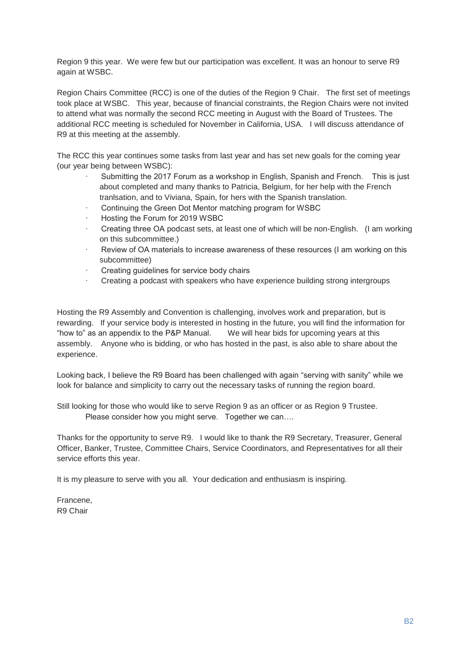Region 9 this year. We were few but our participation was excellent. It was an honour to serve R9 again at WSBC.

Region Chairs Committee (RCC) is one of the duties of the Region 9 Chair. The first set of meetings took place at WSBC. This year, because of financial constraints, the Region Chairs were not invited to attend what was normally the second RCC meeting in August with the Board of Trustees. The additional RCC meeting is scheduled for November in California, USA. I will discuss attendance of R9 at this meeting at the assembly.

The RCC this year continues some tasks from last year and has set new goals for the coming year (our year being between WSBC):

- Submitting the 2017 Forum as a workshop in English, Spanish and French. This is just about completed and many thanks to Patricia, Belgium, for her help with the French tranlsation, and to Viviana, Spain, for hers with the Spanish translation.
- Continuing the Green Dot Mentor matching program for WSBC
- Hosting the Forum for 2019 WSBC
- · Creating three OA podcast sets, at least one of which will be non-English. (I am working on this subcommittee.)
- Review of OA materials to increase awareness of these resources (I am working on this subcommittee)
- Creating guidelines for service body chairs
- · Creating a podcast with speakers who have experience building strong intergroups

Hosting the R9 Assembly and Convention is challenging, involves work and preparation, but is rewarding. If your service body is interested in hosting in the future, you will find the information for "how to" as an appendix to the P&P Manual. We will hear bids for upcoming years at this assembly. Anyone who is bidding, or who has hosted in the past, is also able to share about the experience.

Looking back, I believe the R9 Board has been challenged with again "serving with sanity" while we look for balance and simplicity to carry out the necessary tasks of running the region board.

Still looking for those who would like to serve Region 9 as an officer or as Region 9 Trustee. Please consider how you might serve. Together we can….

Thanks for the opportunity to serve R9. I would like to thank the R9 Secretary, Treasurer, General Officer, Banker, Trustee, Committee Chairs, Service Coordinators, and Representatives for all their service efforts this year.

It is my pleasure to serve with you all. Your dedication and enthusiasm is inspiring.

Francene, R9 Chair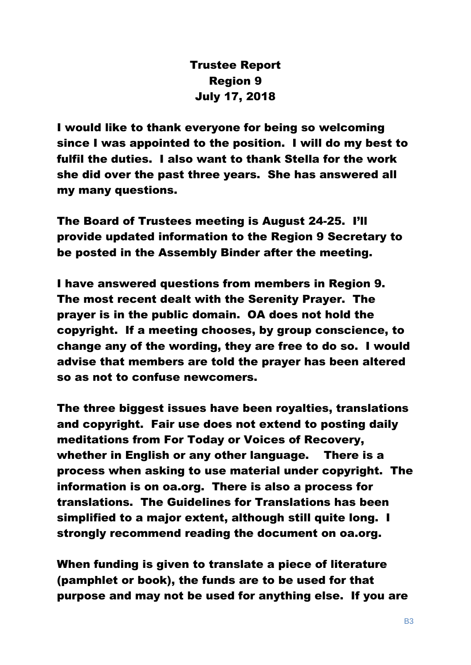# Trustee Report Region 9 July 17, 2018

I would like to thank everyone for being so welcoming since I was appointed to the position. I will do my best to fulfil the duties. I also want to thank Stella for the work she did over the past three years. She has answered all my many questions.

The Board of Trustees meeting is August 24-25. I'll provide updated information to the Region 9 Secretary to be posted in the Assembly Binder after the meeting.

I have answered questions from members in Region 9. The most recent dealt with the Serenity Prayer. The prayer is in the public domain. OA does not hold the copyright. If a meeting chooses, by group conscience, to change any of the wording, they are free to do so. I would advise that members are told the prayer has been altered so as not to confuse newcomers.

The three biggest issues have been royalties, translations and copyright. Fair use does not extend to posting daily meditations from For Today or Voices of Recovery, whether in English or any other language. There is a process when asking to use material under copyright. The information is on oa.org. There is also a process for translations. The Guidelines for Translations has been simplified to a major extent, although still quite long. I strongly recommend reading the document on oa.org.

When funding is given to translate a piece of literature (pamphlet or book), the funds are to be used for that purpose and may not be used for anything else. If you are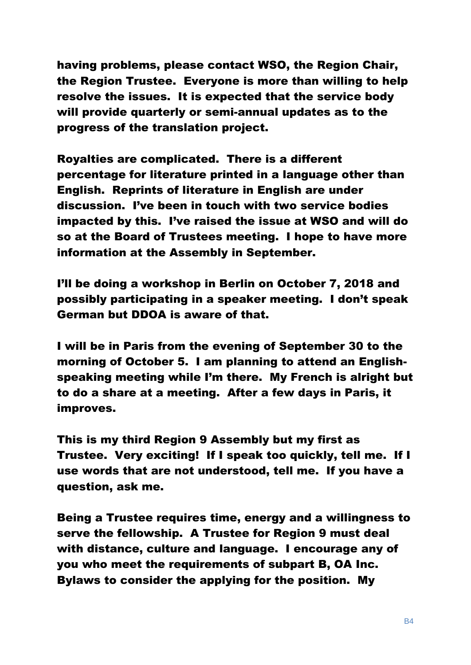having problems, please contact WSO, the Region Chair, the Region Trustee. Everyone is more than willing to help resolve the issues. It is expected that the service body will provide quarterly or semi-annual updates as to the progress of the translation project.

Royalties are complicated. There is a different percentage for literature printed in a language other than English. Reprints of literature in English are under discussion. I've been in touch with two service bodies impacted by this. I've raised the issue at WSO and will do so at the Board of Trustees meeting. I hope to have more information at the Assembly in September.

I'll be doing a workshop in Berlin on October 7, 2018 and possibly participating in a speaker meeting. I don't speak German but DDOA is aware of that.

I will be in Paris from the evening of September 30 to the morning of October 5. I am planning to attend an Englishspeaking meeting while I'm there. My French is alright but to do a share at a meeting. After a few days in Paris, it improves.

This is my third Region 9 Assembly but my first as Trustee. Very exciting! If I speak too quickly, tell me. If I use words that are not understood, tell me. If you have a question, ask me.

Being a Trustee requires time, energy and a willingness to serve the fellowship. A Trustee for Region 9 must deal with distance, culture and language. I encourage any of you who meet the requirements of subpart B, OA Inc. Bylaws to consider the applying for the position. My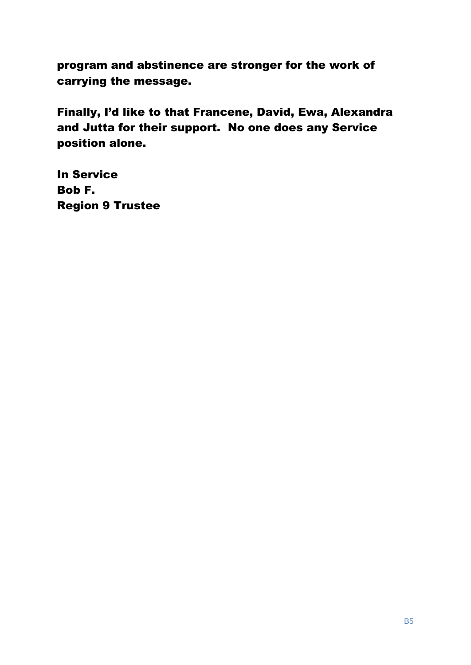program and abstinence are stronger for the work of carrying the message.

Finally, I'd like to that Francene, David, Ewa, Alexandra and Jutta for their support. No one does any Service position alone.

In Service Bob F. Region 9 Trustee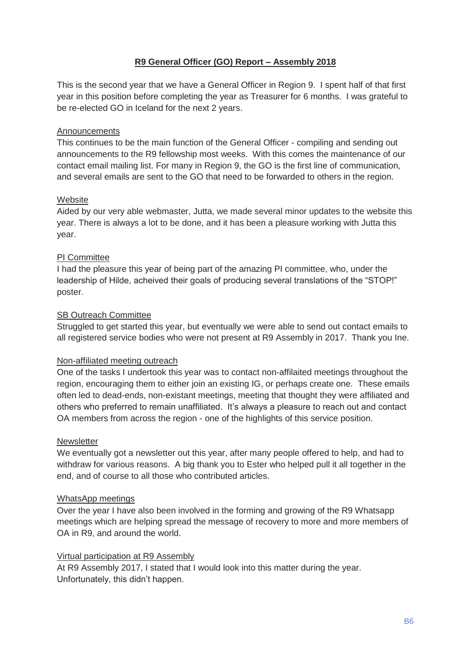# **R9 General Officer (GO) Report – Assembly 2018**

This is the second year that we have a General Officer in Region 9. I spent half of that first year in this position before completing the year as Treasurer for 6 months. I was grateful to be re-elected GO in Iceland for the next 2 years.

## **Announcements**

This continues to be the main function of the General Officer - compiling and sending out announcements to the R9 fellowship most weeks. With this comes the maintenance of our contact email mailing list. For many in Region 9, the GO is the first line of communication, and several emails are sent to the GO that need to be forwarded to others in the region.

## **Website**

Aided by our very able webmaster, Jutta, we made several minor updates to the website this year. There is always a lot to be done, and it has been a pleasure working with Jutta this year.

# PI Committee

I had the pleasure this year of being part of the amazing PI committee, who, under the leadership of Hilde, acheived their goals of producing several translations of the "STOP!" poster.

## **SB Outreach Committee**

Struggled to get started this year, but eventually we were able to send out contact emails to all registered service bodies who were not present at R9 Assembly in 2017. Thank you Ine.

#### Non-affiliated meeting outreach

One of the tasks I undertook this year was to contact non-affilaited meetings throughout the region, encouraging them to either join an existing IG, or perhaps create one. These emails often led to dead-ends, non-existant meetings, meeting that thought they were affiliated and others who preferred to remain unaffiliated. It's always a pleasure to reach out and contact OA members from across the region - one of the highlights of this service position.

#### **Newsletter**

We eventually got a newsletter out this year, after many people offered to help, and had to withdraw for various reasons. A big thank you to Ester who helped pull it all together in the end, and of course to all those who contributed articles.

#### WhatsApp meetings

Over the year I have also been involved in the forming and growing of the R9 Whatsapp meetings which are helping spread the message of recovery to more and more members of OA in R9, and around the world.

#### Virtual participation at R9 Assembly

At R9 Assembly 2017, I stated that I would look into this matter during the year. Unfortunately, this didn't happen.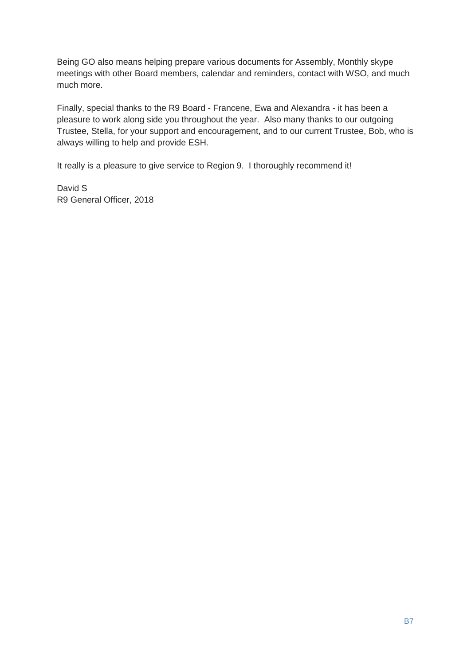Being GO also means helping prepare various documents for Assembly, Monthly skype meetings with other Board members, calendar and reminders, contact with WSO, and much much more.

Finally, special thanks to the R9 Board - Francene, Ewa and Alexandra - it has been a pleasure to work along side you throughout the year. Also many thanks to our outgoing Trustee, Stella, for your support and encouragement, and to our current Trustee, Bob, who is always willing to help and provide ESH.

It really is a pleasure to give service to Region 9. I thoroughly recommend it!

David S R9 General Officer, 2018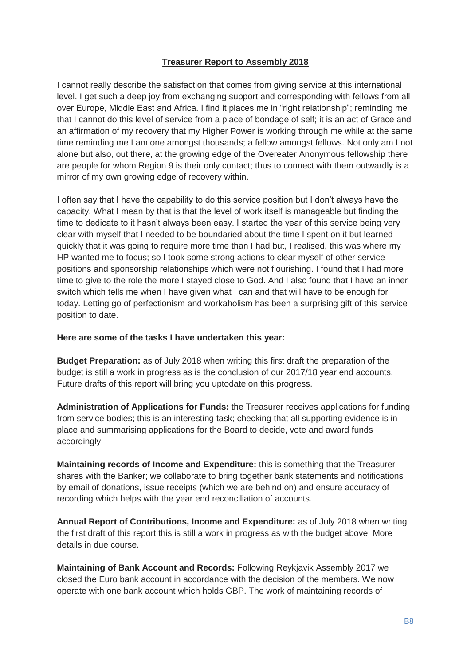# **Treasurer Report to Assembly 2018**

I cannot really describe the satisfaction that comes from giving service at this international level. I get such a deep joy from exchanging support and corresponding with fellows from all over Europe, Middle East and Africa. I find it places me in "right relationship"; reminding me that I cannot do this level of service from a place of bondage of self; it is an act of Grace and an affirmation of my recovery that my Higher Power is working through me while at the same time reminding me I am one amongst thousands; a fellow amongst fellows. Not only am I not alone but also, out there, at the growing edge of the Overeater Anonymous fellowship there are people for whom Region 9 is their only contact; thus to connect with them outwardly is a mirror of my own growing edge of recovery within.

I often say that I have the capability to do this service position but I don't always have the capacity. What I mean by that is that the level of work itself is manageable but finding the time to dedicate to it hasn't always been easy. I started the year of this service being very clear with myself that I needed to be boundaried about the time I spent on it but learned quickly that it was going to require more time than I had but, I realised, this was where my HP wanted me to focus; so I took some strong actions to clear myself of other service positions and sponsorship relationships which were not flourishing. I found that I had more time to give to the role the more I stayed close to God. And I also found that I have an inner switch which tells me when I have given what I can and that will have to be enough for today. Letting go of perfectionism and workaholism has been a surprising gift of this service position to date.

# **Here are some of the tasks I have undertaken this year:**

**Budget Preparation:** as of July 2018 when writing this first draft the preparation of the budget is still a work in progress as is the conclusion of our 2017/18 year end accounts. Future drafts of this report will bring you uptodate on this progress.

**Administration of Applications for Funds:** the Treasurer receives applications for funding from service bodies; this is an interesting task; checking that all supporting evidence is in place and summarising applications for the Board to decide, vote and award funds accordingly.

**Maintaining records of Income and Expenditure:** this is something that the Treasurer shares with the Banker; we collaborate to bring together bank statements and notifications by email of donations, issue receipts (which we are behind on) and ensure accuracy of recording which helps with the year end reconciliation of accounts.

**Annual Report of Contributions, Income and Expenditure:** as of July 2018 when writing the first draft of this report this is still a work in progress as with the budget above. More details in due course.

**Maintaining of Bank Account and Records:** Following Reykjavik Assembly 2017 we closed the Euro bank account in accordance with the decision of the members. We now operate with one bank account which holds GBP. The work of maintaining records of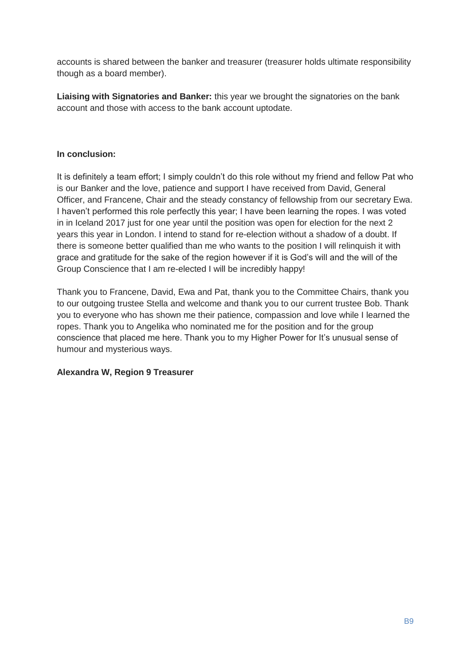accounts is shared between the banker and treasurer (treasurer holds ultimate responsibility though as a board member).

**Liaising with Signatories and Banker:** this year we brought the signatories on the bank account and those with access to the bank account uptodate.

# **In conclusion:**

It is definitely a team effort; I simply couldn't do this role without my friend and fellow Pat who is our Banker and the love, patience and support I have received from David, General Officer, and Francene, Chair and the steady constancy of fellowship from our secretary Ewa. I haven't performed this role perfectly this year; I have been learning the ropes. I was voted in in Iceland 2017 just for one year until the position was open for election for the next 2 years this year in London. I intend to stand for re-election without a shadow of a doubt. If there is someone better qualified than me who wants to the position I will relinquish it with grace and gratitude for the sake of the region however if it is God's will and the will of the Group Conscience that I am re-elected I will be incredibly happy!

Thank you to Francene, David, Ewa and Pat, thank you to the Committee Chairs, thank you to our outgoing trustee Stella and welcome and thank you to our current trustee Bob. Thank you to everyone who has shown me their patience, compassion and love while I learned the ropes. Thank you to Angelika who nominated me for the position and for the group conscience that placed me here. Thank you to my Higher Power for It's unusual sense of humour and mysterious ways.

# **Alexandra W, Region 9 Treasurer**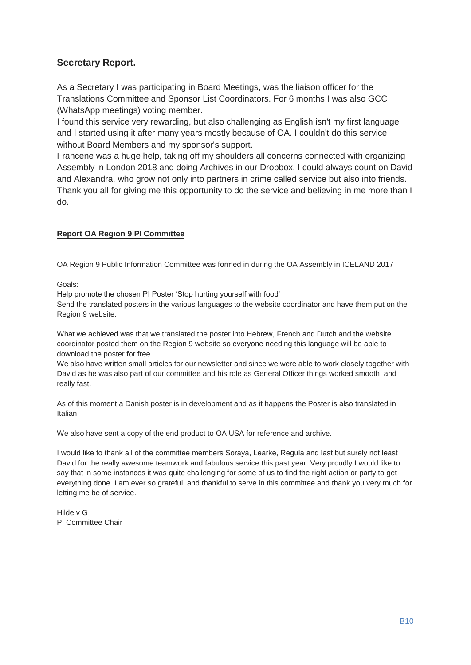# **Secretary Report.**

As a Secretary I was participating in Board Meetings, was the liaison officer for the Translations Committee and Sponsor List Coordinators. For 6 months I was also GCC (WhatsApp meetings) voting member.

I found this service very rewarding, but also challenging as English isn't my first language and I started using it after many years mostly because of OA. I couldn't do this service without Board Members and my sponsor's support.

Francene was a huge help, taking off my shoulders all concerns connected with organizing Assembly in London 2018 and doing Archives in our Dropbox. I could always count on David and Alexandra, who grow not only into partners in crime called service but also into friends. Thank you all for giving me this opportunity to do the service and believing in me more than I do.

# **Report OA Region 9 PI Committee**

OA Region 9 Public Information Committee was formed in during the OA Assembly in ICELAND 2017

Goals:

Help promote the chosen PI Poster 'Stop hurting yourself with food'

Send the translated posters in the various languages to the website coordinator and have them put on the Region 9 website.

What we achieved was that we translated the poster into Hebrew, French and Dutch and the website coordinator posted them on the Region 9 website so everyone needing this language will be able to download the poster for free.

We also have written small articles for our newsletter and since we were able to work closely together with David as he was also part of our committee and his role as General Officer things worked smooth and really fast.

As of this moment a Danish poster is in development and as it happens the Poster is also translated in Italian.

We also have sent a copy of the end product to OA USA for reference and archive.

I would like to thank all of the committee members Soraya, Learke, Regula and last but surely not least David for the really awesome teamwork and fabulous service this past year. Very proudly I would like to say that in some instances it was quite challenging for some of us to find the right action or party to get everything done. I am ever so grateful and thankful to serve in this committee and thank you very much for letting me be of service.

Hilde v G PI Committee Chair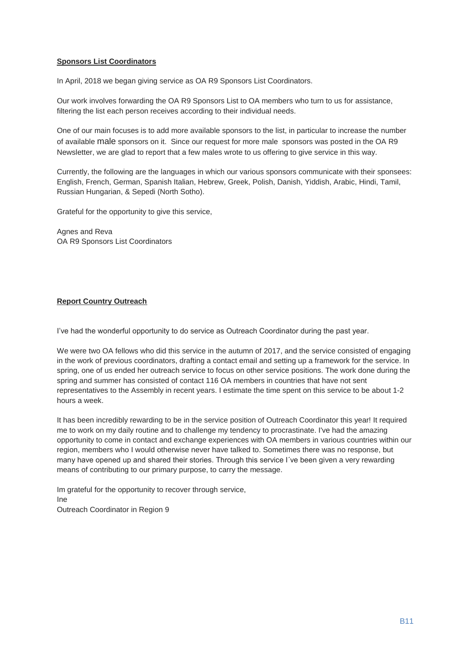#### **Sponsors List Coordinators**

In April, 2018 we began giving service as OA R9 Sponsors List Coordinators.

Our work involves forwarding the OA R9 Sponsors List to OA members who turn to us for assistance, filtering the list each person receives according to their individual needs.

One of our main focuses is to add more available sponsors to the list, in particular to increase the number of available male sponsors on it. Since our request for more male sponsors was posted in the OA R9 Newsletter, we are glad to report that a few males wrote to us offering to give service in this way.

Currently, the following are the languages in which our various sponsors communicate with their sponsees: English, French, German, Spanish Italian, Hebrew, Greek, Polish, Danish, Yiddish, Arabic, Hindi, Tamil, Russian Hungarian, & Sepedi (North Sotho).

Grateful for the opportunity to give this service,

Agnes and Reva OA R9 Sponsors List Coordinators

#### **Report Country Outreach**

I've had the wonderful opportunity to do service as Outreach Coordinator during the past year.

We were two OA fellows who did this service in the autumn of 2017, and the service consisted of engaging in the work of previous coordinators, drafting a contact email and setting up a framework for the service. In spring, one of us ended her outreach service to focus on other service positions. The work done during the spring and summer has consisted of contact 116 OA members in countries that have not sent representatives to the Assembly in recent years. I estimate the time spent on this service to be about 1-2 hours a week.

It has been incredibly rewarding to be in the service position of Outreach Coordinator this year! It required me to work on my daily routine and to challenge my tendency to procrastinate. I've had the amazing opportunity to come in contact and exchange experiences with OA members in various countries within our region, members who I would otherwise never have talked to. Sometimes there was no response, but many have opened up and shared their stories. Through this service I´ve been given a very rewarding means of contributing to our primary purpose, to carry the message.

Im grateful for the opportunity to recover through service, Ine Outreach Coordinator in Region 9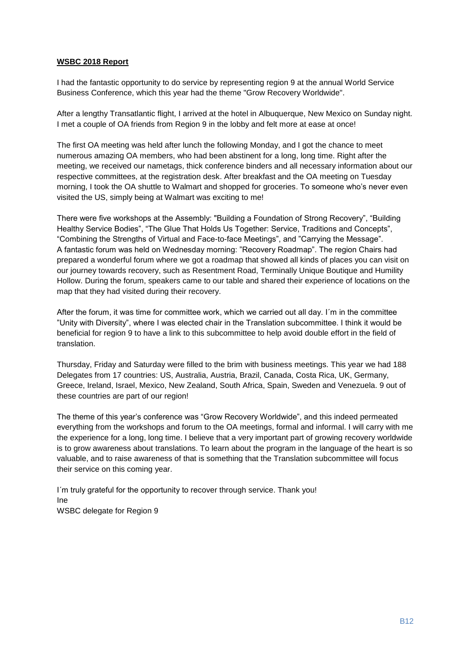#### **WSBC 2018 Report**

I had the fantastic opportunity to do service by representing region 9 at the annual World Service Business Conference, which this year had the theme "Grow Recovery Worldwide".

After a lengthy Transatlantic flight, I arrived at the hotel in Albuquerque, New Mexico on Sunday night. I met a couple of OA friends from Region 9 in the lobby and felt more at ease at once!

The first OA meeting was held after lunch the following Monday, and I got the chance to meet numerous amazing OA members, who had been abstinent for a long, long time. Right after the meeting, we received our nametags, thick conference binders and all necessary information about our respective committees, at the registration desk. After breakfast and the OA meeting on Tuesday morning, I took the OA shuttle to Walmart and shopped for groceries. To someone who's never even visited the US, simply being at Walmart was exciting to me!

There were five workshops at the Assembly: "Building a Foundation of Strong Recovery", "Building Healthy Service Bodies", "The Glue That Holds Us Together: Service, Traditions and Concepts", "Combining the Strengths of Virtual and Face-to-face Meetings", and "Carrying the Message". A fantastic forum was held on Wednesday morning: "Recovery Roadmap". The region Chairs had prepared a wonderful forum where we got a roadmap that showed all kinds of places you can visit on our journey towards recovery, such as Resentment Road, Terminally Unique Boutique and Humility Hollow. During the forum, speakers came to our table and shared their experience of locations on the map that they had visited during their recovery.

After the forum, it was time for committee work, which we carried out all day. I´m in the committee "Unity with Diversity", where I was elected chair in the Translation subcommittee. I think it would be beneficial for region 9 to have a link to this subcommittee to help avoid double effort in the field of translation.

Thursday, Friday and Saturday were filled to the brim with business meetings. This year we had 188 Delegates from 17 countries: US, Australia, Austria, Brazil, Canada, Costa Rica, UK, Germany, Greece, Ireland, Israel, Mexico, New Zealand, South Africa, Spain, Sweden and Venezuela. 9 out of these countries are part of our region!

The theme of this year's conference was "Grow Recovery Worldwide", and this indeed permeated everything from the workshops and forum to the OA meetings, formal and informal. I will carry with me the experience for a long, long time. I believe that a very important part of growing recovery worldwide is to grow awareness about translations. To learn about the program in the language of the heart is so valuable, and to raise awareness of that is something that the Translation subcommittee will focus their service on this coming year.

I´m truly grateful for the opportunity to recover through service. Thank you! Ine WSBC delegate for Region 9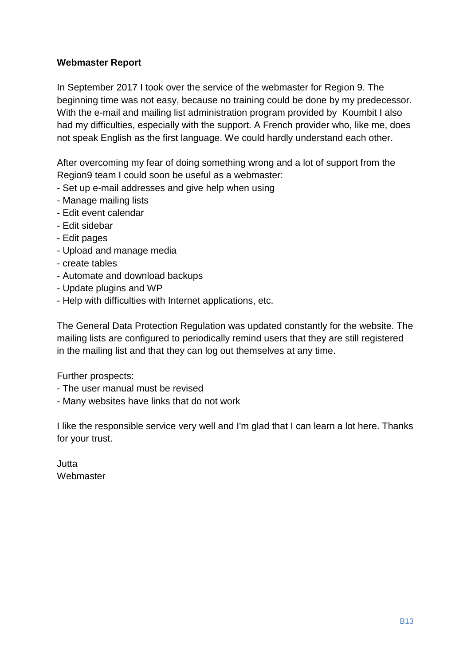# **Webmaster Report**

In September 2017 I took over the service of the webmaster for Region 9. The beginning time was not easy, because no training could be done by my predecessor. With the e-mail and mailing list administration program provided by Koumbit I also had my difficulties, especially with the support. A French provider who, like me, does not speak English as the first language. We could hardly understand each other.

After overcoming my fear of doing something wrong and a lot of support from the Region9 team I could soon be useful as a webmaster:

- Set up e-mail addresses and give help when using
- Manage mailing lists
- Edit event calendar
- Edit sidebar
- Edit pages
- Upload and manage media
- create tables
- Automate and download backups
- Update plugins and WP
- Help with difficulties with Internet applications, etc.

The General Data Protection Regulation was updated constantly for the website. The mailing lists are configured to periodically remind users that they are still registered in the mailing list and that they can log out themselves at any time.

Further prospects:

- The user manual must be revised
- Many websites have links that do not work

I like the responsible service very well and I'm glad that I can learn a lot here. Thanks for your trust.

Jutta Webmaster